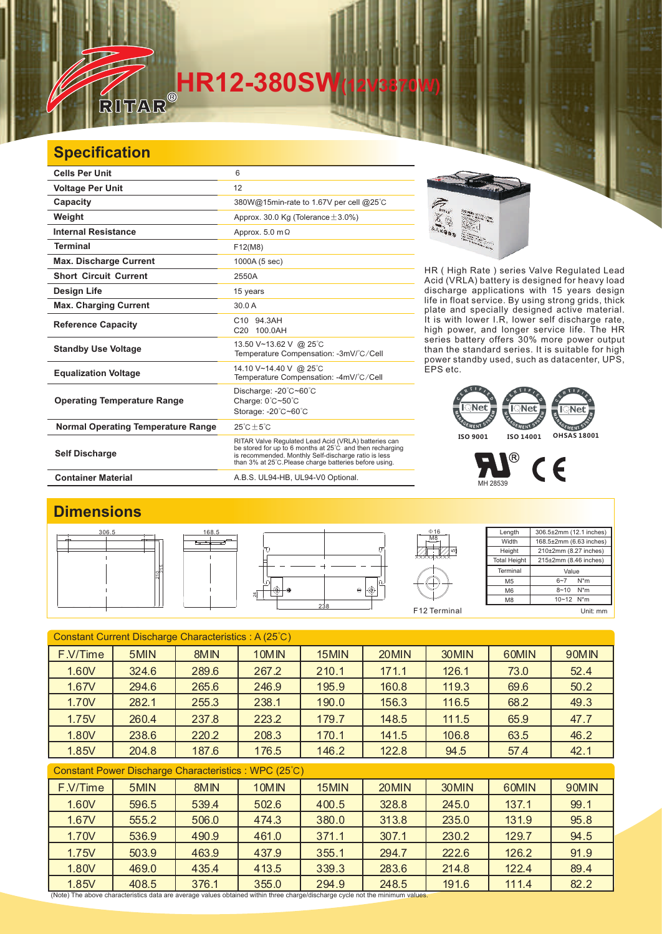# **FAR**<sup>®</sup><br>RITAR®

### **Specification**

 $\frac{1}{\sqrt{2}}$ 

| <b>Cells Per Unit</b>                     | 6                                                                                                                                                                                                                                  |  |  |  |  |
|-------------------------------------------|------------------------------------------------------------------------------------------------------------------------------------------------------------------------------------------------------------------------------------|--|--|--|--|
| <b>Voltage Per Unit</b>                   | 12                                                                                                                                                                                                                                 |  |  |  |  |
| Capacity                                  | 380W@15min-rate to 1.67V per cell @25°C                                                                                                                                                                                            |  |  |  |  |
| Weight                                    | Approx. 30.0 Kg (Tolerance $\pm$ 3.0%)                                                                                                                                                                                             |  |  |  |  |
| <b>Internal Resistance</b>                | Approx. $5.0 \text{ m}\Omega$                                                                                                                                                                                                      |  |  |  |  |
| <b>Terminal</b>                           | F12(M8)                                                                                                                                                                                                                            |  |  |  |  |
| <b>Max. Discharge Current</b>             | 1000A (5 sec)                                                                                                                                                                                                                      |  |  |  |  |
| <b>Short Circuit Current</b>              | 2550A                                                                                                                                                                                                                              |  |  |  |  |
| Design Life                               | 15 years                                                                                                                                                                                                                           |  |  |  |  |
| <b>Max. Charging Current</b>              | 30.0A                                                                                                                                                                                                                              |  |  |  |  |
| <b>Reference Capacity</b>                 | C10 94.3AH<br>C20 100.0AH                                                                                                                                                                                                          |  |  |  |  |
| <b>Standby Use Voltage</b>                | 13.50 V~13.62 V @ 25°C<br>Temperature Compensation: -3mV/°C/Cell                                                                                                                                                                   |  |  |  |  |
| <b>Equalization Voltage</b>               | 14.10 V~14.40 V @ 25°C<br>Temperature Compensation: -4mV/°C/Cell                                                                                                                                                                   |  |  |  |  |
| <b>Operating Temperature Range</b>        | Discharge: -20°C~60°C<br>Charge: $0^{\circ}$ C $\sim$ 50 $^{\circ}$ C<br>Storage: -20°C~60°C                                                                                                                                       |  |  |  |  |
| <b>Normal Operating Temperature Range</b> | $25^{\circ}$ C + 5 $^{\circ}$ C                                                                                                                                                                                                    |  |  |  |  |
| <b>Self Discharge</b>                     | RITAR Valve Regulated Lead Acid (VRLA) batteries can<br>be stored for up to 6 months at 25°C and then recharging<br>is recommended. Monthly Self-discharge ratio is less<br>than 3% at 25°C. Please charge batteries before using. |  |  |  |  |
| <b>Container Material</b>                 | A.B.S. UL94-HB, UL94-V0 Optional.                                                                                                                                                                                                  |  |  |  |  |



HR ( High Rate ) series Valve Regulated Lead Acid (VRLA) battery is designed for heavy load discharge applications with 15 years design life in float service. By using strong grids, and specially designed active material. It is with lower I.R, lower self discharge rate, high power, and longer service life. The HR series battery offers 30% more power output than the standard series. It is suitable for high power standby used, such as datacenter, UPS, EPS etc. thick plate



#### P  $C \in$ MH 28539

#### **Dimensions**



| Constant Current Discharge Characteristics: A (25°C)  |       |                  |       |       |       |       |       |       |  |
|-------------------------------------------------------|-------|------------------|-------|-------|-------|-------|-------|-------|--|
| F.V/Time                                              | 5MIN  | 8MIN             | 10MIN | 15MIN | 20MIN | 30MIN | 60MIN | 90MIN |  |
| 1.60V                                                 | 324.6 | 289.6            | 267.2 | 210.1 | 171.1 | 126.1 | 73.0  | 52.4  |  |
| 1.67V                                                 | 294.6 | 265.6            | 246.9 | 195.9 | 160.8 | 119.3 | 69.6  | 50.2  |  |
| 1.70V                                                 | 282.1 | 255.3            | 238.1 | 190.0 | 156.3 | 116.5 | 68.2  | 49.3  |  |
| 1.75V                                                 | 260.4 | 237.8            | 223.2 | 179.7 | 148.5 | 111.5 | 65.9  | 47.7  |  |
| 1.80V                                                 | 238.6 | 220.2            | 208.3 | 170.1 | 141.5 | 106.8 | 63.5  | 46.2  |  |
| 1.85V                                                 | 204.8 | 187.6            | 176.5 | 146.2 | 122.8 | 94.5  | 57.4  | 42.1  |  |
| Constant Power Discharge Characteristics : WPC (25°C) |       |                  |       |       |       |       |       |       |  |
| F.V/Time                                              | 5MIN  | 8M <sub>IN</sub> | 10MIN | 15MIN | 20MIN | 30MIN | 60MIN | 90MIN |  |
| 1.60V                                                 | 596.5 | 539.4            | 502.6 | 400.5 | 328.8 | 245.0 | 137.1 | 99.1  |  |
| 1.67V                                                 | 555.2 | 506.0            | 474.3 | 380.0 | 313.8 | 235.0 | 131.9 | 95.8  |  |
| 1.70V                                                 | 536.9 | 490.9            | 461.0 | 371.1 | 307.1 | 230.2 | 129.7 | 94.5  |  |
| 1.75V                                                 | 503.9 | 463.9            | 437.9 | 355.1 | 294.7 | 222.6 | 126.2 | 91.9  |  |
| 1.80V                                                 | 469.0 | 435.4            | 413.5 | 339.3 | 283.6 | 214.8 | 122.4 | 89.4  |  |
| 1.85V                                                 | 408.5 | 376.1            | 355.0 | 294.9 | 248.5 | 191.6 | 111.4 | 82.2  |  |

(Note) The above characteristics data are average values obtained within three charge/discharge cycle not the minimum values.